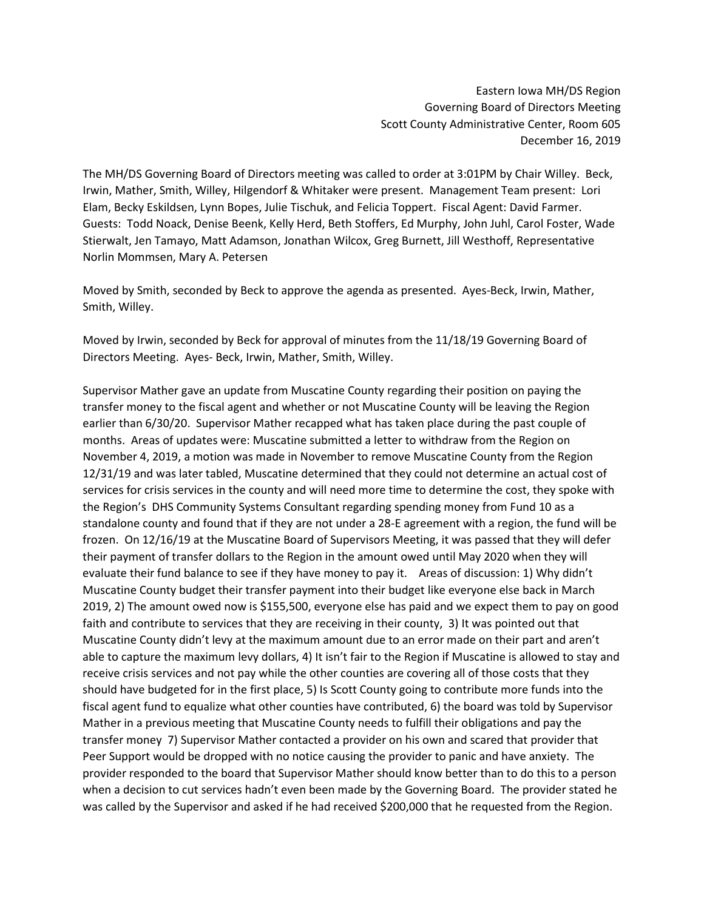Eastern Iowa MH/DS Region Governing Board of Directors Meeting Scott County Administrative Center, Room 605 December 16, 2019

The MH/DS Governing Board of Directors meeting was called to order at 3:01PM by Chair Willey. Beck, Irwin, Mather, Smith, Willey, Hilgendorf & Whitaker were present. Management Team present: Lori Elam, Becky Eskildsen, Lynn Bopes, Julie Tischuk, and Felicia Toppert. Fiscal Agent: David Farmer. Guests: Todd Noack, Denise Beenk, Kelly Herd, Beth Stoffers, Ed Murphy, John Juhl, Carol Foster, Wade Stierwalt, Jen Tamayo, Matt Adamson, Jonathan Wilcox, Greg Burnett, Jill Westhoff, Representative Norlin Mommsen, Mary A. Petersen

Moved by Smith, seconded by Beck to approve the agenda as presented. Ayes-Beck, Irwin, Mather, Smith, Willey.

Moved by Irwin, seconded by Beck for approval of minutes from the 11/18/19 Governing Board of Directors Meeting. Ayes- Beck, Irwin, Mather, Smith, Willey.

Supervisor Mather gave an update from Muscatine County regarding their position on paying the transfer money to the fiscal agent and whether or not Muscatine County will be leaving the Region earlier than 6/30/20. Supervisor Mather recapped what has taken place during the past couple of months. Areas of updates were: Muscatine submitted a letter to withdraw from the Region on November 4, 2019, a motion was made in November to remove Muscatine County from the Region 12/31/19 and was later tabled, Muscatine determined that they could not determine an actual cost of services for crisis services in the county and will need more time to determine the cost, they spoke with the Region's DHS Community Systems Consultant regarding spending money from Fund 10 as a standalone county and found that if they are not under a 28-E agreement with a region, the fund will be frozen. On 12/16/19 at the Muscatine Board of Supervisors Meeting, it was passed that they will defer their payment of transfer dollars to the Region in the amount owed until May 2020 when they will evaluate their fund balance to see if they have money to pay it.Areas of discussion: 1) Why didn't Muscatine County budget their transfer payment into their budget like everyone else back in March 2019, 2) The amount owed now is \$155,500, everyone else has paid and we expect them to pay on good faith and contribute to services that they are receiving in their county, 3) It was pointed out that Muscatine County didn't levy at the maximum amount due to an error made on their part and aren't able to capture the maximum levy dollars, 4) It isn't fair to the Region if Muscatine is allowed to stay and receive crisis services and not pay while the other counties are covering all of those costs that they should have budgeted for in the first place, 5) Is Scott County going to contribute more funds into the fiscal agent fund to equalize what other counties have contributed, 6) the board was told by Supervisor Mather in a previous meeting that Muscatine County needs to fulfill their obligations and pay the transfer money 7) Supervisor Mather contacted a provider on his own and scared that provider that Peer Support would be dropped with no notice causing the provider to panic and have anxiety. The provider responded to the board that Supervisor Mather should know better than to do this to a person when a decision to cut services hadn't even been made by the Governing Board. The provider stated he was called by the Supervisor and asked if he had received \$200,000 that he requested from the Region.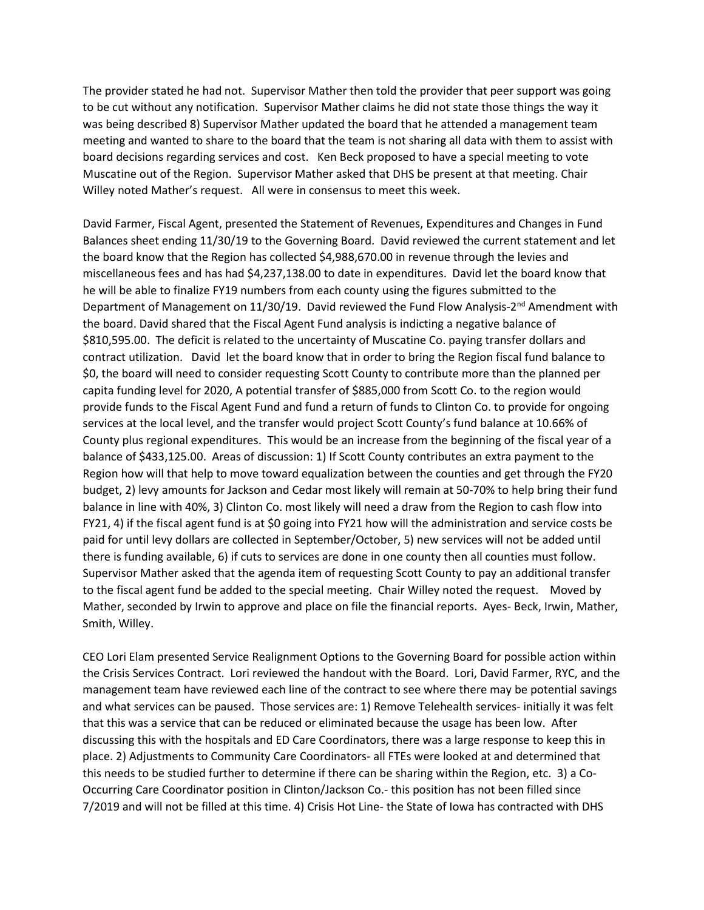The provider stated he had not. Supervisor Mather then told the provider that peer support was going to be cut without any notification. Supervisor Mather claims he did not state those things the way it was being described 8) Supervisor Mather updated the board that he attended a management team meeting and wanted to share to the board that the team is not sharing all data with them to assist with board decisions regarding services and cost. Ken Beck proposed to have a special meeting to vote Muscatine out of the Region. Supervisor Mather asked that DHS be present at that meeting. Chair Willey noted Mather's request. All were in consensus to meet this week.

David Farmer, Fiscal Agent, presented the Statement of Revenues, Expenditures and Changes in Fund Balances sheet ending 11/30/19 to the Governing Board. David reviewed the current statement and let the board know that the Region has collected \$4,988,670.00 in revenue through the levies and miscellaneous fees and has had \$4,237,138.00 to date in expenditures. David let the board know that he will be able to finalize FY19 numbers from each county using the figures submitted to the Department of Management on  $11/30/19$ . David reviewed the Fund Flow Analysis- $2<sup>nd</sup>$  Amendment with the board. David shared that the Fiscal Agent Fund analysis is indicting a negative balance of \$810,595.00. The deficit is related to the uncertainty of Muscatine Co. paying transfer dollars and contract utilization. David let the board know that in order to bring the Region fiscal fund balance to \$0, the board will need to consider requesting Scott County to contribute more than the planned per capita funding level for 2020, A potential transfer of \$885,000 from Scott Co. to the region would provide funds to the Fiscal Agent Fund and fund a return of funds to Clinton Co. to provide for ongoing services at the local level, and the transfer would project Scott County's fund balance at 10.66% of County plus regional expenditures. This would be an increase from the beginning of the fiscal year of a balance of \$433,125.00. Areas of discussion: 1) If Scott County contributes an extra payment to the Region how will that help to move toward equalization between the counties and get through the FY20 budget, 2) levy amounts for Jackson and Cedar most likely will remain at 50-70% to help bring their fund balance in line with 40%, 3) Clinton Co. most likely will need a draw from the Region to cash flow into FY21, 4) if the fiscal agent fund is at \$0 going into FY21 how will the administration and service costs be paid for until levy dollars are collected in September/October, 5) new services will not be added until there is funding available, 6) if cuts to services are done in one county then all counties must follow. Supervisor Mather asked that the agenda item of requesting Scott County to pay an additional transfer to the fiscal agent fund be added to the special meeting. Chair Willey noted the request. Moved by Mather, seconded by Irwin to approve and place on file the financial reports. Ayes- Beck, Irwin, Mather, Smith, Willey.

CEO Lori Elam presented Service Realignment Options to the Governing Board for possible action within the Crisis Services Contract. Lori reviewed the handout with the Board. Lori, David Farmer, RYC, and the management team have reviewed each line of the contract to see where there may be potential savings and what services can be paused. Those services are: 1) Remove Telehealth services- initially it was felt that this was a service that can be reduced or eliminated because the usage has been low. After discussing this with the hospitals and ED Care Coordinators, there was a large response to keep this in place. 2) Adjustments to Community Care Coordinators- all FTEs were looked at and determined that this needs to be studied further to determine if there can be sharing within the Region, etc. 3) a Co-Occurring Care Coordinator position in Clinton/Jackson Co.- this position has not been filled since 7/2019 and will not be filled at this time. 4) Crisis Hot Line- the State of Iowa has contracted with DHS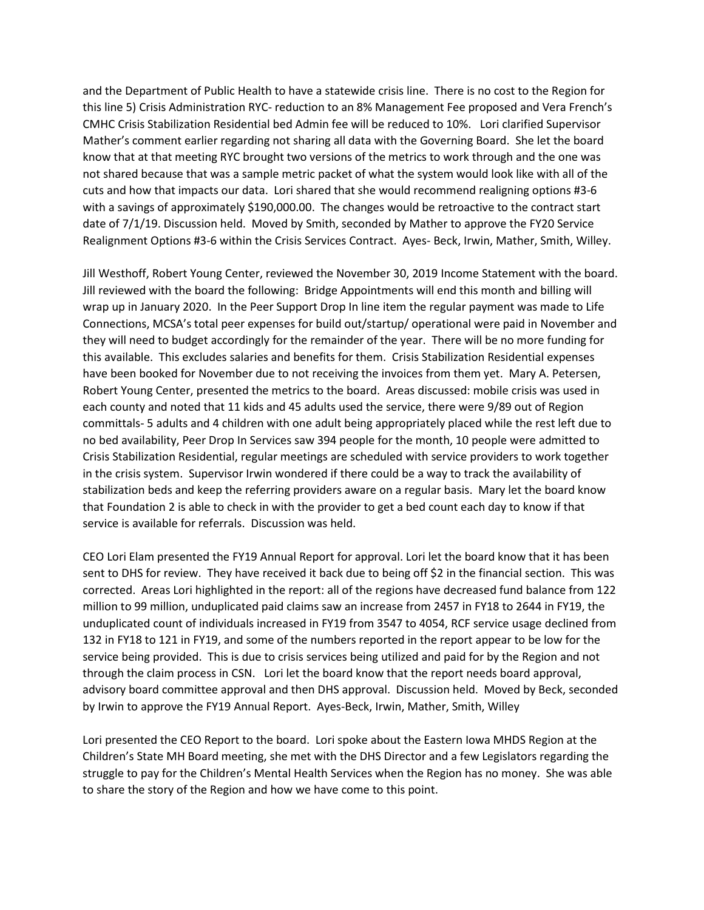and the Department of Public Health to have a statewide crisis line. There is no cost to the Region for this line 5) Crisis Administration RYC- reduction to an 8% Management Fee proposed and Vera French's CMHC Crisis Stabilization Residential bed Admin fee will be reduced to 10%. Lori clarified Supervisor Mather's comment earlier regarding not sharing all data with the Governing Board. She let the board know that at that meeting RYC brought two versions of the metrics to work through and the one was not shared because that was a sample metric packet of what the system would look like with all of the cuts and how that impacts our data. Lori shared that she would recommend realigning options #3-6 with a savings of approximately \$190,000.00. The changes would be retroactive to the contract start date of 7/1/19. Discussion held. Moved by Smith, seconded by Mather to approve the FY20 Service Realignment Options #3-6 within the Crisis Services Contract. Ayes- Beck, Irwin, Mather, Smith, Willey.

Jill Westhoff, Robert Young Center, reviewed the November 30, 2019 Income Statement with the board. Jill reviewed with the board the following: Bridge Appointments will end this month and billing will wrap up in January 2020. In the Peer Support Drop In line item the regular payment was made to Life Connections, MCSA's total peer expenses for build out/startup/ operational were paid in November and they will need to budget accordingly for the remainder of the year. There will be no more funding for this available. This excludes salaries and benefits for them. Crisis Stabilization Residential expenses have been booked for November due to not receiving the invoices from them yet. Mary A. Petersen, Robert Young Center, presented the metrics to the board. Areas discussed: mobile crisis was used in each county and noted that 11 kids and 45 adults used the service, there were 9/89 out of Region committals- 5 adults and 4 children with one adult being appropriately placed while the rest left due to no bed availability, Peer Drop In Services saw 394 people for the month, 10 people were admitted to Crisis Stabilization Residential, regular meetings are scheduled with service providers to work together in the crisis system. Supervisor Irwin wondered if there could be a way to track the availability of stabilization beds and keep the referring providers aware on a regular basis. Mary let the board know that Foundation 2 is able to check in with the provider to get a bed count each day to know if that service is available for referrals. Discussion was held.

CEO Lori Elam presented the FY19 Annual Report for approval. Lori let the board know that it has been sent to DHS for review. They have received it back due to being off \$2 in the financial section. This was corrected. Areas Lori highlighted in the report: all of the regions have decreased fund balance from 122 million to 99 million, unduplicated paid claims saw an increase from 2457 in FY18 to 2644 in FY19, the unduplicated count of individuals increased in FY19 from 3547 to 4054, RCF service usage declined from 132 in FY18 to 121 in FY19, and some of the numbers reported in the report appear to be low for the service being provided. This is due to crisis services being utilized and paid for by the Region and not through the claim process in CSN. Lori let the board know that the report needs board approval, advisory board committee approval and then DHS approval. Discussion held. Moved by Beck, seconded by Irwin to approve the FY19 Annual Report. Ayes-Beck, Irwin, Mather, Smith, Willey

Lori presented the CEO Report to the board. Lori spoke about the Eastern Iowa MHDS Region at the Children's State MH Board meeting, she met with the DHS Director and a few Legislators regarding the struggle to pay for the Children's Mental Health Services when the Region has no money. She was able to share the story of the Region and how we have come to this point.